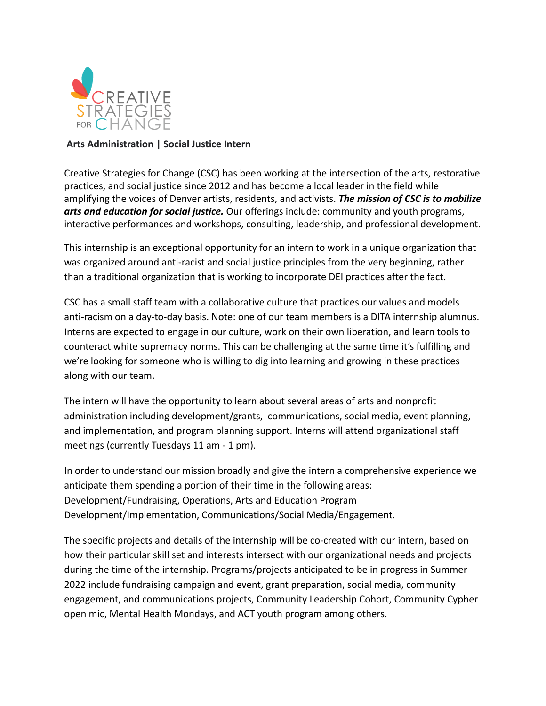

## **Arts Administration | Social Justice Intern**

Creative Strategies for Change (CSC) has been working at the intersection of the arts, restorative practices, and social justice since 2012 and has become a local leader in the field while amplifying the voices of Denver artists, residents, and activists. *The mission of CSC is to mobilize arts and education for social justice.* Our offerings include: community and youth programs, interactive performances and workshops, consulting, leadership, and professional development.

This internship is an exceptional opportunity for an intern to work in a unique organization that was organized around anti-racist and social justice principles from the very beginning, rather than a traditional organization that is working to incorporate DEI practices after the fact.

CSC has a small staff team with a collaborative culture that practices our values and models anti-racism on a day-to-day basis. Note: one of our team members is a DITA internship alumnus. Interns are expected to engage in our culture, work on their own liberation, and learn tools to counteract white supremacy norms. This can be challenging at the same time it's fulfilling and we're looking for someone who is willing to dig into learning and growing in these practices along with our team.

The intern will have the opportunity to learn about several areas of arts and nonprofit administration including development/grants, communications, social media, event planning, and implementation, and program planning support. Interns will attend organizational staff meetings (currently Tuesdays 11 am - 1 pm).

In order to understand our mission broadly and give the intern a comprehensive experience we anticipate them spending a portion of their time in the following areas: Development/Fundraising, Operations, Arts and Education Program Development/Implementation, Communications/Social Media/Engagement.

The specific projects and details of the internship will be co-created with our intern, based on how their particular skill set and interests intersect with our organizational needs and projects during the time of the internship. Programs/projects anticipated to be in progress in Summer 2022 include fundraising campaign and event, grant preparation, social media, community engagement, and communications projects, Community Leadership Cohort, Community Cypher open mic, Mental Health Mondays, and ACT youth program among others.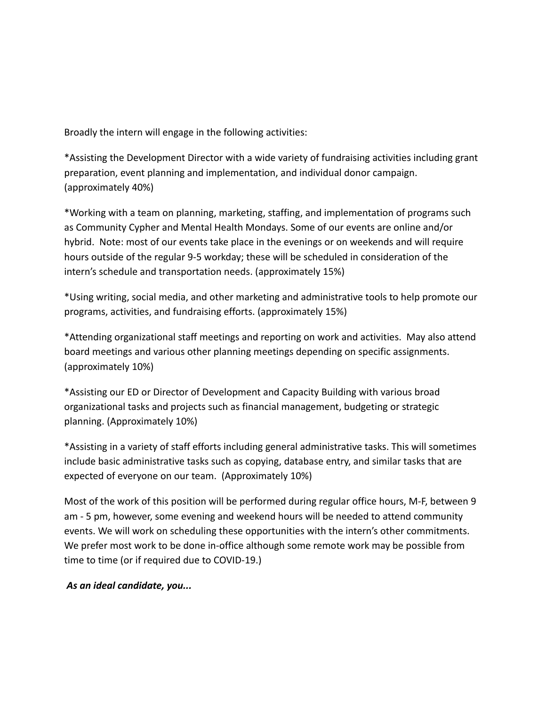Broadly the intern will engage in the following activities:

\*Assisting the Development Director with a wide variety of fundraising activities including grant preparation, event planning and implementation, and individual donor campaign. (approximately 40%)

\*Working with a team on planning, marketing, staffing, and implementation of programs such as Community Cypher and Mental Health Mondays. Some of our events are online and/or hybrid. Note: most of our events take place in the evenings or on weekends and will require hours outside of the regular 9-5 workday; these will be scheduled in consideration of the intern's schedule and transportation needs. (approximately 15%)

\*Using writing, social media, and other marketing and administrative tools to help promote our programs, activities, and fundraising efforts. (approximately 15%)

\*Attending organizational staff meetings and reporting on work and activities. May also attend board meetings and various other planning meetings depending on specific assignments. (approximately 10%)

\*Assisting our ED or Director of Development and Capacity Building with various broad organizational tasks and projects such as financial management, budgeting or strategic planning. (Approximately 10%)

\*Assisting in a variety of staff efforts including general administrative tasks. This will sometimes include basic administrative tasks such as copying, database entry, and similar tasks that are expected of everyone on our team. (Approximately 10%)

Most of the work of this position will be performed during regular office hours, M-F, between 9 am - 5 pm, however, some evening and weekend hours will be needed to attend community events. We will work on scheduling these opportunities with the intern's other commitments. We prefer most work to be done in-office although some remote work may be possible from time to time (or if required due to COVID-19.)

*As an ideal candidate, you...*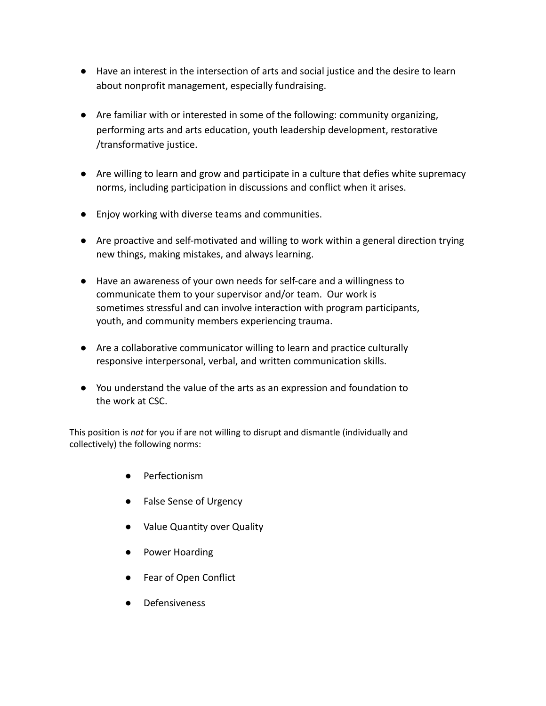- Have an interest in the intersection of arts and social justice and the desire to learn about nonprofit management, especially fundraising.
- Are familiar with or interested in some of the following: community organizing, performing arts and arts education, youth leadership development, restorative /transformative justice.
- Are willing to learn and grow and participate in a culture that defies white supremacy norms, including participation in discussions and conflict when it arises.
- Enjoy working with diverse teams and communities.
- Are proactive and self-motivated and willing to work within a general direction trying new things, making mistakes, and always learning.
- Have an awareness of your own needs for self-care and a willingness to communicate them to your supervisor and/or team. Our work is sometimes stressful and can involve interaction with program participants, youth, and community members experiencing trauma.
- Are a collaborative communicator willing to learn and practice culturally responsive interpersonal, verbal, and written communication skills.
- You understand the value of the arts as an expression and foundation to the work at CSC.

This position is *not* for you if are not willing to disrupt and dismantle (individually and collectively) the following norms:

- Perfectionism
- False Sense of Urgency
- Value Quantity over Quality
- Power Hoarding
- Fear of Open Conflict
- Defensiveness